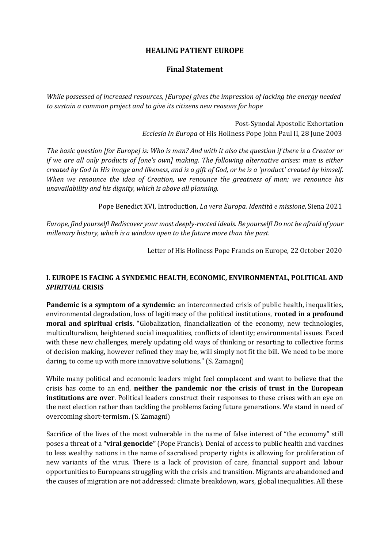## **HEALING PATIENT EUROPE**

## **Final Statement**

*While possessed of increased resources, [Europe] gives the impression of lacking the energy needed to sustain a common project and to give its citizens new reasons for hope* 

> Post-Synodal Apostolic Exhortation *Ecclesia In Europa* of His Holiness Pope John Paul II, 28 June 2003

*The basic question [for Europe] is: Who is man? And with it also the question if there is a Creator or if we are all only products of [one's own] making. The following alternative arises: man is either created by God in His image and likeness, and is a gift of God, or he is a 'product' created by himself. When we renounce the idea of Creation, we renounce the greatness of man; we renounce his unavailability and his dignity, which is above all planning.* 

Pope Benedict XVI, Introduction, *La vera Europa. Identità e missione*, Siena 2021

*Europe, find yourself! Rediscover your most deeply-rooted ideals. Be yourself! Do not be afraid of your millenary history, which is a window open to the future more than the past.* 

Letter of His Holiness Pope Francis on Europe, 22 October 2020

## **I. EUROPE IS FACING A SYNDEMIC HEALTH, ECONOMIC, ENVIRONMENTAL, POLITICAL AND**  *SPIRITUAL* **CRISIS**

**Pandemic is a symptom of a syndemic**: an interconnected crisis of public health, inequalities, environmental degradation, loss of legitimacy of the political institutions, **rooted in a profound moral and spiritual crisis**. "Globalization, financialization of the economy, new technologies, multiculturalism, heightened social inequalities, conflicts of identity; environmental issues. Faced with these new challenges, merely updating old ways of thinking or resorting to collective forms of decision making, however refined they may be, will simply not fit the bill. We need to be more daring, to come up with more innovative solutions." (S. Zamagni)

While many political and economic leaders might feel complacent and want to believe that the crisis has come to an end, **neither the pandemic nor the crisis of trust in the European institutions are over**. Political leaders construct their responses to these crises with an eye on the next election rather than tackling the problems facing future generations. We stand in need of overcoming short-termism. (S. Zamagni)

Sacrifice of the lives of the most vulnerable in the name of false interest of "the economy" still poses a threat of a **"viral genocide"** (Pope Francis). Denial of access to public health and vaccines to less wealthy nations in the name of sacralised property rights is allowing for proliferation of new variants of the virus. There is a lack of provision of care, financial support and labour opportunities to Europeans struggling with the crisis and transition. Migrants are abandoned and the causes of migration are not addressed: climate breakdown, wars, global inequalities. All these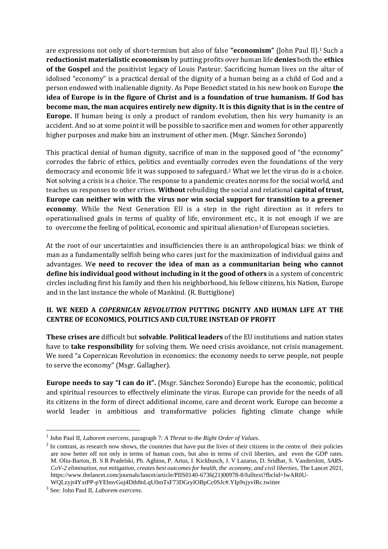are expressions not only of short-termism but also of false **"economism"** (John Paul II).<sup>1</sup> Such a **reductionist materialistic economism** by putting profits over human life **denies** both the **ethics of the Gospel** and the positivist legacy of Louis Pasteur. Sacrificing human lives on the altar of idolised "economy" is a practical denial of the dignity of a human being as a child of God and a person endowed with inalienable dignity. As Pope Benedict stated in his new book on Europe **the idea of Europe is in the figure of Christ and is a foundation of true humanism. If God has become man, the man acquires entirely new dignity. It is this dignity that is in the centre of Europe.** If human being is only a product of random evolution, then his very humanity is an accident. And so at some point it will be possible to sacrifice men and women for other apparently higher purposes and make him an instrument of other men. (Msgr. Sánchez Sorondo)

This practical denial of human dignity, sacrifice of man in the supposed good of "the economy" corrodes the fabric of ethics, politics and eventually corrodes even the foundations of the very democracy and economic life it was supposed to safeguard.<sup>2</sup> What we let the virus do is a choice. Not solving a crisis is a choice. The response to a pandemic creates norms for the social world, and teaches us responses to other crises. **Without** rebuilding the social and relational **capital of trust, Europe can neither win with the virus nor win social support for transition to a greener economy**. While the Next Generation EU is a step in the right direction as it refers to operationalised goals in terms of quality of life, environment etc., it is not enough if we are to overcome the feeling of political, economic and spiritual alienation<sup>3</sup> of European societies.

At the root of our uncertainties and insufficiencies there is an anthropological bias: we think of man as a fundamentally selfish being who cares just for the maximization of individual gains and advantages. W**e need to recover the idea of man as a communitarian being who cannot define his individual good without including in it the good of others** in a system of concentric circles including first his family and then his neighborhood, his fellow citizens, his Nation, Europe and in the last instance the whole of Mankind. (R. Buttiglione)

## **II. WE NEED A** *COPERNICAN REVOLUTION* **PUTTING DIGNITY AND HUMAN LIFE AT THE CENTRE OF ECONOMICS, POLITICS AND CULTURE INSTEAD OF PROFIT**

**These crises are** difficult but **solvable**. **Political leaders** of the EU institutions and nation states have to **take responsibility** for solving them. We need crisis avoidance, not crisis management. We need "a Copernican Revolution in economics: the economy needs to serve people, not people to serve the economy" (Msgr. Gallagher).

**Europe needs to say "I can do it".** (Msgr. Sánchez Sorondo) Europe has the economic, political and spiritual resources to effectively eliminate the virus. Europe can provide for the needs of all its citizens in the form of direct additional income, care and decent work. Europe can become a world leader in ambitious and transformative policies fighting climate change while

<sup>1</sup> John Paul II, *Laborem exercens*, paragraph 7: *A Threat to the Right Order of Values.*

 $2 \text{ In contrast, as research now shows, the countries that have put the lives of their citizens in the centre of their policies.}$ are now better off not only in terms of human costs, but also in terms of civil liberties, and even the GDP rates. M. Oliu-Barton, B. S R Pradelski, Ph. Aghion, P. Artus, I. Kickbusch, J. V Lazarus, D. Sridhar, S. Vanderslott, *SARS-CoV-2 elimination, not mitigation, creates best outcomes for health, the economy, and civil liberties*, The Lancet 2021, [https://www.thelancet.com/journals/lancet/article/PIIS0140-6736\(21\)00978-8/fulltext?fbclid=IwAR0U-](https://www.thelancet.com/journals/lancet/article/PIIS0140-6736(21)00978-8/fulltext?fbclid=IwAR0U-WQLzyjt4YxtPP-pYEbnvGoj4Dth8nLqU0mTsF73DGryIOBpCc0SJc#.YIp9xjyvlRc.twitter)

[WQLzyjt4YxtPP-pYEbnvGoj4Dth8nLqU0mTsF73DGryIOBpCc0SJc#.YIp9xjyvlRc.twitter](https://www.thelancet.com/journals/lancet/article/PIIS0140-6736(21)00978-8/fulltext?fbclid=IwAR0U-WQLzyjt4YxtPP-pYEbnvGoj4Dth8nLqU0mTsF73DGryIOBpCc0SJc#.YIp9xjyvlRc.twitter)

<sup>3</sup> See: John Paul II, *Laborem exercens*.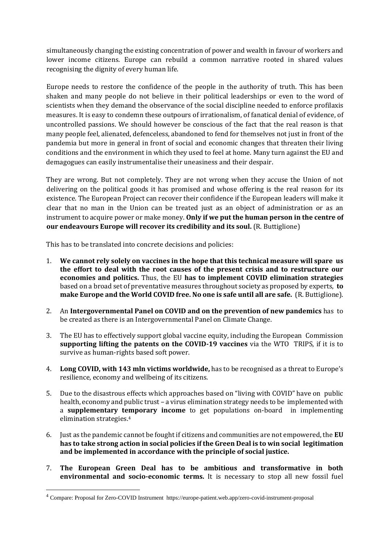simultaneously changing the existing concentration of power and wealth in favour of workers and lower income citizens. Europe can rebuild a common narrative rooted in shared values recognising the dignity of every human life.

Europe needs to restore the confidence of the people in the authority of truth. This has been shaken and many people do not believe in their political leaderships or even to the word of scientists when they demand the observance of the social discipline needed to enforce profilaxis measures. It is easy to condemn these outpours of irrationalism, of fanatical denial of evidence, of uncontrolled passions. We should however be conscious of the fact that the real reason is that many people feel, alienated, defenceless, abandoned to fend for themselves not just in front of the pandemia but more in general in front of social and economic changes that threaten their living conditions and the environment in which they used to feel at home. Many turn against the EU and demagogues can easily instrumentalise their uneasiness and their despair.

They are wrong. But not completely. They are not wrong when they accuse the Union of not delivering on the political goods it has promised and whose offering is the real reason for its existence. The European Project can recover their confidence if the European leaders will make it clear that no man in the Union can be treated just as an object of administration or as an instrument to acquire power or make money. **Only if we put the human person in the centre of our endeavours Europe will recover its credibility and its soul.** (R. Buttiglione)

This has to be translated into concrete decisions and policies:

- 1. **We cannot rely solely on vaccines in the hope that this technical measure will spare us the effort to deal with the root causes of the present crisis and to restructure our economies and politics.** Thus, the EU **has to implement COVID elimination strategies** based on a broad set of preventative measures throughout society as proposed by experts, **to make Europe and the World COVID free. No one is safe until all are safe.** (R. Buttiglione).
- 2. An **Intergovernmental Panel on COVID and on the prevention of new pandemics** has to be created as there is an Intergovernmental Panel on Climate Change.
- 3. The EU has to effectively support global vaccine equity, including the European Commission **supporting lifting the patents on the COVID-19 vaccines** via the WTO TRIPS, if it is to survive as human-rights based soft power.
- 4. **Long COVID, with 143 mln victims worldwide,** has to be recognised as a threat to Europe's resilience, economy and wellbeing of its citizens.
- 5. Due to the disastrous effects which approaches based on "living with COVID" have on public health, economy and public trust – a virus elimination strategy needs to be implemented with a **supplementary temporary income** to get populations on-board in implementing elimination strategies.<sup>4</sup>
- 6. Just as the pandemic cannot be fought if citizens and communities are not empowered, the **EU has to take strong action in social policies if the Green Deal is to win social legitimation and be implemented in accordance with the principle of social justice.**
- 7. **The European Green Deal has to be ambitious and transformative in both environmental and socio-economic terms.** It is necessary to stop all new fossil fuel

<sup>4</sup> Compare: Proposal for Zero-COVID Instrument https://europe-patient.web.app/zero-covid-instrument-proposal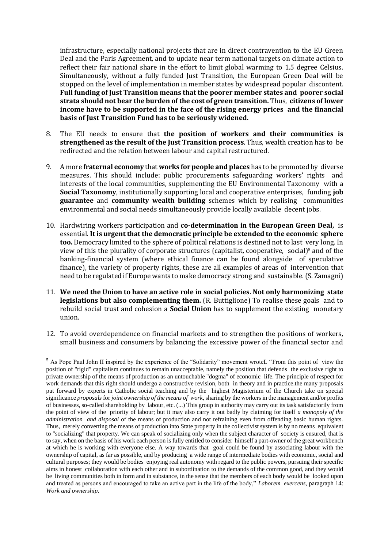infrastructure, especially national projects that are in direct contravention to the EU Green Deal and the Paris Agreement, and to update near term national targets on climate action to reflect their fair national share in the effort to limit global warming to 1.5 degree Celsius. Simultaneously, without a fully funded Just Transition, the European Green Deal will be stopped on the level of implementation in member states by widespread popular discontent. **Full funding of Just Transition means that the poorer member states and poorer social strata should not bear the burden of the cost of green transition.** Thus, **citizens of lower income have to be supported in the face of the rising energy prices and the financial basis of Just Transition Fund has to be seriously widened.**

- 8. The EU needs to ensure that **the position of workers and their communities is strengthened as the result of the Just Transition process**. Thus, wealth creation has to be redirected and the relation between labour and capital restructured.
- 9. A more **fraternal economy** that **works for people and places** has to be promoted by diverse measures. This should include: public procurements safeguarding workers' rights and interests of the local communities, supplementing the EU Environmental Taxonomy with a **Social Taxonomy**, institutionally supporting local and cooperative enterprises, funding **job guarantee** and **community wealth building** schemes which by realising communities environmental and social needs simultaneously provide locally available decent jobs.
- 10. Hardwiring workers participation and **co-determination in the European Green Deal,** is essential. **It is urgent that the democratic principle be extended to the economic sphere too.** Democracy limited to the sphere of political relations is destined not to last very long. In view of this the plurality of corporate structures (capitalist, cooperative, social)<sup>5</sup> and of the banking-financial system (where ethical finance can be found alongside of speculative finance), the variety of property rights, these are all examples of areas of intervention that need to be regulated if Europe wants to make democracy strong and sustainable. (S. Zamagni)
- 11. **We need the Union to have an active role in social policies. Not only harmonizing state legislations but also complementing them.** (R. Buttiglione) To realise these goals and to rebuild social trust and cohesion a **Social Union** has to supplement the existing monetary union.
- 12. To avoid overdependence on financial markets and to strengthen the positions of workers, small business and consumers by balancing the excessive power of the financial sector and

<sup>5</sup> As Pope Paul John II inspired by the experience of the "Solidarity" movement wroteL "From this point of view the position of "rigid" capitalism continues to remain unacceptable, namely the position that defends the exclusive right to private ownership of the means of production as an untouchable "dogma" of economic life. The principle of respect for work demands that this right should undergo a constructive revision, both in theory and in practice.the many proposals put forward by experts in Catholic social teaching and by the highest Magisterium of the Church take on special significance *proposals* for *joint ownership of the means of work,* sharing by the workers in the management and/or profits of businesses, so-called shareholding by labour, etc. (...) This group in authority may carry out its task satisfactorily from the point of view of the priority of labour; but it may also carry it out badly by claiming for itself *a monopoly of the administration and disposal* of the means of production and not refraining even from offending basic human rights. Thus, merely converting the means of production into State property in the collectivist system is by no means equivalent to "socializing" that property. We can speak of socializing only when the subject character of society is ensured, that is to say, when on the basis of his work each person is fully entitled to consider himself a part-owner of the great workbench at which he is working with everyone else. A way towards that goal could be found by associating labour with the ownership of capital, as far as possible, and by producing a wide range of intermediate bodies with economic, social and cultural purposes; they would be bodies enjoying real autonomy with regard to the public powers, pursuing their specific aims in honest collaboration with each other and in subordination to the demands of the common good, and they would be living communities both in form and in substance, in the sense that the members of each body would be looked upon and treated as persons and encouraged to take an active part in the life of the body," *Laborem exercens*, paragraph 14: *Work and ownership*.